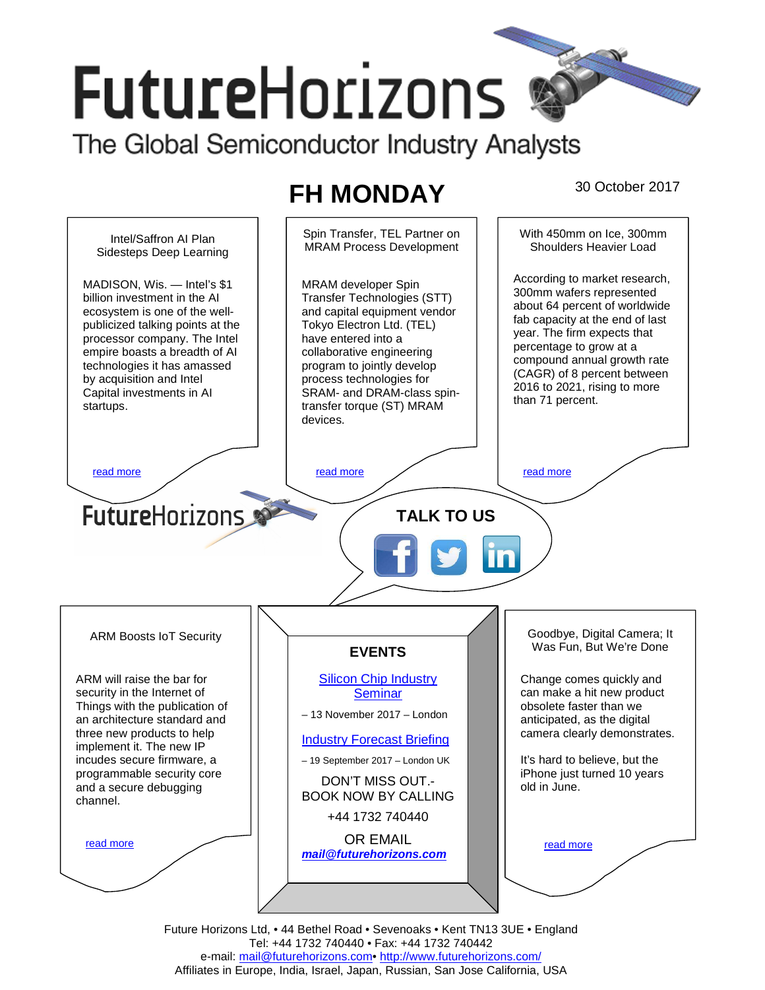# **FutureHorizons** The Global Semiconductor Industry Analysts

**FH MONDAY** 30 October 2017



Future Horizons Ltd, • 44 Bethel Road • Sevenoaks • Kent TN13 3UE • England Tel: +44 1732 740440 • Fax: +44 1732 740442 e-mail: mail@futurehorizons.com• http://www.futurehorizons.com/ Affiliates in Europe, India, Israel, Japan, Russian, San Jose California, USA